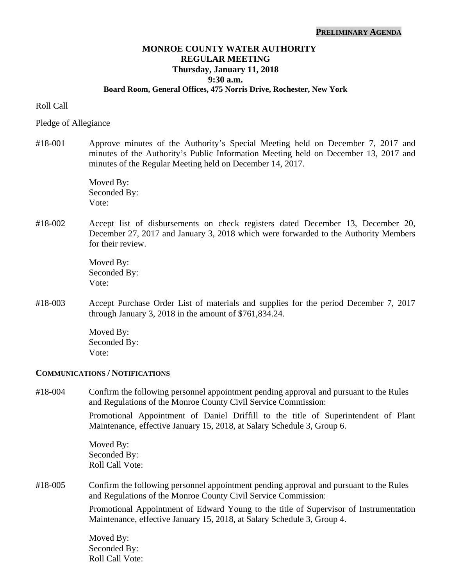# **MONROE COUNTY WATER AUTHORITY REGULAR MEETING Thursday, January 11, 2018 9:30 a.m.**

### **Board Room, General Offices, 475 Norris Drive, Rochester, New York**

Roll Call

Pledge of Allegiance

#18-001 Approve minutes of the Authority's Special Meeting held on December 7, 2017 and minutes of the Authority's Public Information Meeting held on December 13, 2017 and minutes of the Regular Meeting held on December 14, 2017.

> Moved By: Seconded By: Vote:

#18-002 Accept list of disbursements on check registers dated December 13, December 20, December 27, 2017 and January 3, 2018 which were forwarded to the Authority Members for their review.

> Moved By: Seconded By: Vote:

#18-003 Accept Purchase Order List of materials and supplies for the period December 7, 2017 through January 3, 2018 in the amount of \$761,834.24.

> Moved By: Seconded By: Vote:

#### **COMMUNICATIONS / NOTIFICATIONS**

#18-004 Confirm the following personnel appointment pending approval and pursuant to the Rules and Regulations of the Monroe County Civil Service Commission:

> Promotional Appointment of Daniel Driffill to the title of Superintendent of Plant Maintenance, effective January 15, 2018, at Salary Schedule 3, Group 6.

Moved By: Seconded By: Roll Call Vote:

#18-005 Confirm the following personnel appointment pending approval and pursuant to the Rules and Regulations of the Monroe County Civil Service Commission:

> Promotional Appointment of Edward Young to the title of Supervisor of Instrumentation Maintenance, effective January 15, 2018, at Salary Schedule 3, Group 4.

Moved By: Seconded By: Roll Call Vote: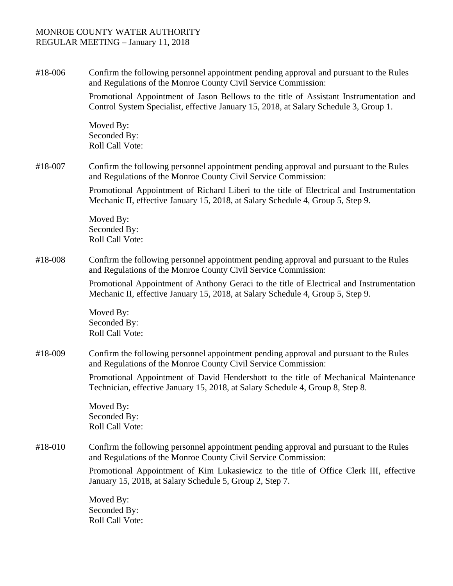## MONROE COUNTY WATER AUTHORITY REGULAR MEETING – January 11, 2018

#18-006 Confirm the following personnel appointment pending approval and pursuant to the Rules and Regulations of the Monroe County Civil Service Commission:

Promotional Appointment of Jason Bellows to the title of Assistant Instrumentation and Control System Specialist, effective January 15, 2018, at Salary Schedule 3, Group 1.

Moved By: Seconded By: Roll Call Vote:

#18-007 Confirm the following personnel appointment pending approval and pursuant to the Rules and Regulations of the Monroe County Civil Service Commission:

> Promotional Appointment of Richard Liberi to the title of Electrical and Instrumentation Mechanic II, effective January 15, 2018, at Salary Schedule 4, Group 5, Step 9.

Moved By: Seconded By: Roll Call Vote:

#18-008 Confirm the following personnel appointment pending approval and pursuant to the Rules and Regulations of the Monroe County Civil Service Commission:

> Promotional Appointment of Anthony Geraci to the title of Electrical and Instrumentation Mechanic II, effective January 15, 2018, at Salary Schedule 4, Group 5, Step 9.

Moved By: Seconded By: Roll Call Vote:

#18-009 Confirm the following personnel appointment pending approval and pursuant to the Rules and Regulations of the Monroe County Civil Service Commission:

> Promotional Appointment of David Hendershott to the title of Mechanical Maintenance Technician, effective January 15, 2018, at Salary Schedule 4, Group 8, Step 8.

Moved By: Seconded By: Roll Call Vote:

# #18-010 Confirm the following personnel appointment pending approval and pursuant to the Rules and Regulations of the Monroe County Civil Service Commission:

Promotional Appointment of Kim Lukasiewicz to the title of Office Clerk III, effective January 15, 2018, at Salary Schedule 5, Group 2, Step 7.

Moved By: Seconded By: Roll Call Vote: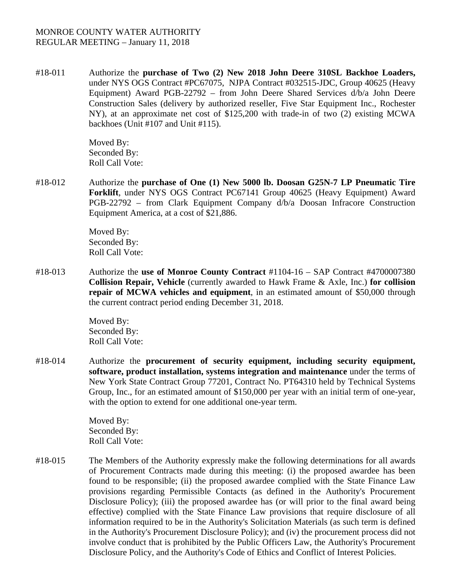# MONROE COUNTY WATER AUTHORITY REGULAR MEETING – January 11, 2018

#18-011 Authorize the **purchase of Two (2) New 2018 John Deere 310SL Backhoe Loaders,** under NYS OGS Contract #PC67075, NJPA Contract #032515-JDC, Group 40625 (Heavy Equipment) Award PGB-22792 – from John Deere Shared Services d/b/a John Deere Construction Sales (delivery by authorized reseller, Five Star Equipment Inc., Rochester NY), at an approximate net cost of \$125,200 with trade-in of two (2) existing MCWA backhoes (Unit #107 and Unit #115).

> Moved By: Seconded By: Roll Call Vote:

#18-012 Authorize the **purchase of One (1) New 5000 lb. Doosan G25N-7 LP Pneumatic Tire Forklift**, under NYS OGS Contract PC67141 Group 40625 (Heavy Equipment) Award PGB-22792 – from Clark Equipment Company d/b/a Doosan Infracore Construction Equipment America, at a cost of \$21,886.

> Moved By: Seconded By: Roll Call Vote:

#18-013 Authorize the **use of Monroe County Contract** #1104-16 – SAP Contract #4700007380 **Collision Repair, Vehicle** (currently awarded to Hawk Frame & Axle, Inc.) **for collision repair of MCWA vehicles and equipment**, in an estimated amount of \$50,000 through the current contract period ending December 31, 2018.

> Moved By: Seconded By: Roll Call Vote:

#18-014 Authorize the **procurement of security equipment, including security equipment, software, product installation, systems integration and maintenance** under the terms of New York State Contract Group 77201, Contract No. PT64310 held by Technical Systems Group, Inc., for an estimated amount of \$150,000 per year with an initial term of one-year, with the option to extend for one additional one-year term.

> Moved By: Seconded By: Roll Call Vote:

#18-015 The Members of the Authority expressly make the following determinations for all awards of Procurement Contracts made during this meeting: (i) the proposed awardee has been found to be responsible; (ii) the proposed awardee complied with the State Finance Law provisions regarding Permissible Contacts (as defined in the Authority's Procurement Disclosure Policy); (iii) the proposed awardee has (or will prior to the final award being effective) complied with the State Finance Law provisions that require disclosure of all information required to be in the Authority's Solicitation Materials (as such term is defined in the Authority's Procurement Disclosure Policy); and (iv) the procurement process did not involve conduct that is prohibited by the Public Officers Law, the Authority's Procurement Disclosure Policy, and the Authority's Code of Ethics and Conflict of Interest Policies.